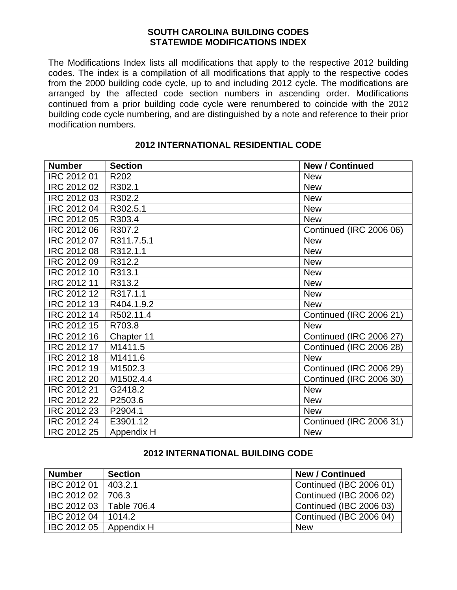#### **SOUTH CAROLINA BUILDING CODES STATEWIDE MODIFICATIONS INDEX**

The Modifications Index lists all modifications that apply to the respective 2012 building codes. The index is a compilation of all modifications that apply to the respective codes from the 2000 building code cycle, up to and including 2012 cycle. The modifications are arranged by the affected code section numbers in ascending order. Modifications continued from a prior building code cycle were renumbered to coincide with the 2012 building code cycle numbering, and are distinguished by a note and reference to their prior modification numbers.

| <b>Number</b>      | <b>Section</b> | <b>New / Continued</b>         |
|--------------------|----------------|--------------------------------|
| IRC 2012 01        | R202           | <b>New</b>                     |
| IRC 2012 02        | R302.1         | <b>New</b>                     |
| IRC 2012 03        | R302.2         | <b>New</b>                     |
| IRC 2012 04        | R302.5.1       | <b>New</b>                     |
| IRC 2012 05        | R303.4         | <b>New</b>                     |
| IRC 2012 06        | R307.2         | Continued (IRC 2006 06)        |
| IRC 2012 07        | R311.7.5.1     | <b>New</b>                     |
| IRC 2012 08        | R312.1.1       | <b>New</b>                     |
| IRC 2012 09        | R312.2         | <b>New</b>                     |
| IRC 2012 10        | R313.1         | <b>New</b>                     |
| IRC 2012 11        | R313.2         | <b>New</b>                     |
| IRC 2012 12        | R317.1.1       | <b>New</b>                     |
| IRC 2012 13        | R404.1.9.2     | <b>New</b>                     |
| IRC 2012 14        | R502.11.4      | <b>Continued (IRC 2006 21)</b> |
| IRC 2012 15        | R703.8         | <b>New</b>                     |
| IRC 2012 16        | Chapter 11     | <b>Continued (IRC 2006 27)</b> |
| IRC 2012 17        | M1411.5        | <b>Continued (IRC 2006 28)</b> |
| <b>IRC 2012 18</b> | M1411.6        | <b>New</b>                     |
| IRC 2012 19        | M1502.3        | <b>Continued (IRC 2006 29)</b> |
| IRC 2012 20        | M1502.4.4      | <b>Continued (IRC 2006 30)</b> |
| <b>IRC 2012 21</b> | G2418.2        | <b>New</b>                     |
| IRC 2012 22        | P2503.6        | <b>New</b>                     |
| IRC 2012 23        | P2904.1        | <b>New</b>                     |
| IRC 2012 24        | E3901.12       | <b>Continued (IRC 2006 31)</b> |
| IRC 2012 25        | Appendix H     | <b>New</b>                     |

### **2012 INTERNATIONAL RESIDENTIAL CODE**

#### **2012 INTERNATIONAL BUILDING CODE**

| <b>Number</b> | <b>Section</b> | <b>New / Continued</b>  |
|---------------|----------------|-------------------------|
| IBC 2012 01   | 403.2.1        | Continued (IBC 2006 01) |
| IBC 2012 02   | 706.3          | Continued (IBC 2006 02) |
| IBC 2012 03   | Table 706.4    | Continued (IBC 2006 03) |
| IBC 2012 04   | 1014.2         | Continued (IBC 2006 04) |
| IBC 2012 05   | Appendix H     | <b>New</b>              |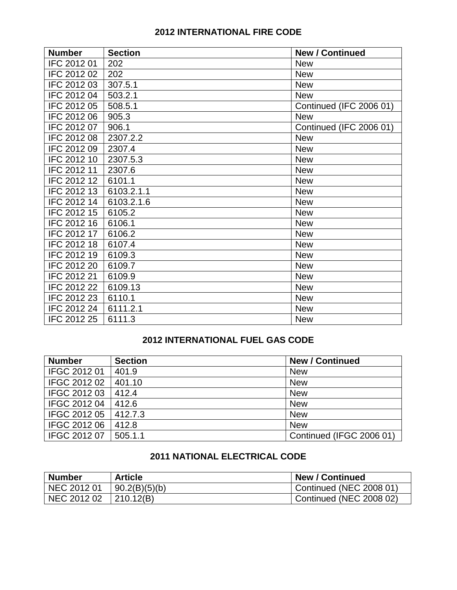# **2012 INTERNATIONAL FIRE CODE**

| <b>Number</b> | <b>Section</b> | <b>New / Continued</b>  |
|---------------|----------------|-------------------------|
| IFC 2012 01   | 202            | <b>New</b>              |
| IFC 2012 02   | 202            | <b>New</b>              |
| IFC 2012 03   | 307.5.1        | <b>New</b>              |
| IFC 2012 04   | 503.2.1        | <b>New</b>              |
| IFC 2012 05   | 508.5.1        | Continued (IFC 2006 01) |
| IFC 2012 06   | 905.3          | <b>New</b>              |
| IFC 2012 07   | 906.1          | Continued (IFC 2006 01) |
| IFC 2012 08   | 2307.2.2       | <b>New</b>              |
| IFC 2012 09   | 2307.4         | <b>New</b>              |
| IFC 2012 10   | 2307.5.3       | <b>New</b>              |
| IFC 2012 11   | 2307.6         | <b>New</b>              |
| IFC 2012 12   | 6101.1         | <b>New</b>              |
| IFC 2012 13   | 6103.2.1.1     | <b>New</b>              |
| IFC 2012 14   | 6103.2.1.6     | <b>New</b>              |
| IFC 2012 15   | 6105.2         | <b>New</b>              |
| IFC 2012 16   | 6106.1         | <b>New</b>              |
| IFC 2012 17   | 6106.2         | <b>New</b>              |
| IFC 2012 18   | 6107.4         | <b>New</b>              |
| IFC 2012 19   | 6109.3         | <b>New</b>              |
| IFC 2012 20   | 6109.7         | <b>New</b>              |
| IFC 2012 21   | 6109.9         | <b>New</b>              |
| IFC 2012 22   | 6109.13        | <b>New</b>              |
| IFC 2012 23   | 6110.1         | <b>New</b>              |
| IFC 2012 24   | 6111.2.1       | <b>New</b>              |
| IFC 2012 25   | 6111.3         | <b>New</b>              |

## **2012 INTERNATIONAL FUEL GAS CODE**

| <b>Number</b> | <b>Section</b> | <b>New / Continued</b>   |
|---------------|----------------|--------------------------|
| IFGC 2012 01  | 401.9          | <b>New</b>               |
| IFGC 2012 02  | 401.10         | <b>New</b>               |
| IFGC 2012 03  | 412.4          | <b>New</b>               |
| IFGC 2012 04  | 412.6          | <b>New</b>               |
| IFGC 2012 05  | 412.7.3        | <b>New</b>               |
| IFGC 2012 06  | 412.8          | <b>New</b>               |
| IFGC 2012 07  | 505.1.1        | Continued (IFGC 2006 01) |

# **2011 NATIONAL ELECTRICAL CODE**

| <b>Number</b> | <b>Article</b> | <b>New / Continued</b>         |
|---------------|----------------|--------------------------------|
| NEC 2012 01   | 90.2(B)(5)(b)  | Continued (NEC 2008 01,        |
| NEC 2012 02   | 210.12(B)      | <b>Continued (NEC 2008 02)</b> |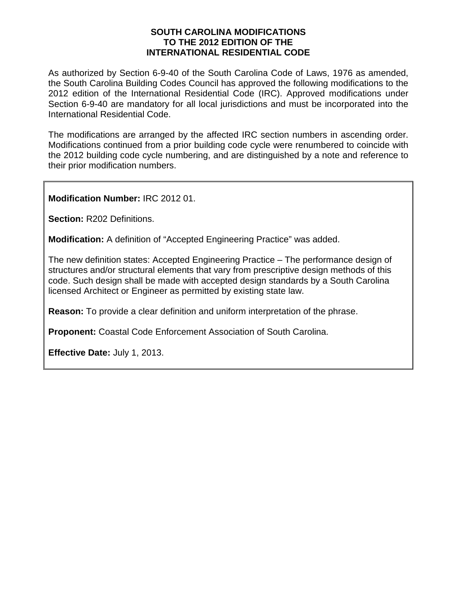#### **SOUTH CAROLINA MODIFICATIONS TO THE 2012 EDITION OF THE INTERNATIONAL RESIDENTIAL CODE**

As authorized by Section 6-9-40 of the South Carolina Code of Laws, 1976 as amended, the South Carolina Building Codes Council has approved the following modifications to the 2012 edition of the International Residential Code (IRC). Approved modifications under Section 6-9-40 are mandatory for all local jurisdictions and must be incorporated into the International Residential Code.

The modifications are arranged by the affected IRC section numbers in ascending order. Modifications continued from a prior building code cycle were renumbered to coincide with the 2012 building code cycle numbering, and are distinguished by a note and reference to their prior modification numbers.

**Modification Number:** IRC 2012 01.

**Section:** R202 Definitions.

**Modification:** A definition of "Accepted Engineering Practice" was added.

The new definition states: Accepted Engineering Practice – The performance design of structures and/or structural elements that vary from prescriptive design methods of this code. Such design shall be made with accepted design standards by a South Carolina licensed Architect or Engineer as permitted by existing state law.

**Reason:** To provide a clear definition and uniform interpretation of the phrase.

**Proponent:** Coastal Code Enforcement Association of South Carolina.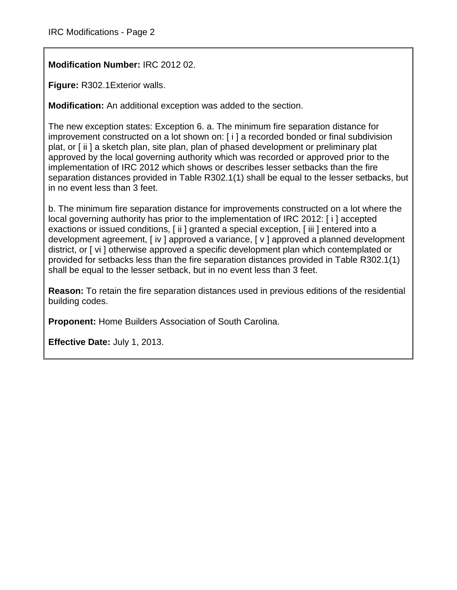**Modification Number:** IRC 2012 02.

**Figure:** R302.1Exterior walls.

**Modification:** An additional exception was added to the section.

The new exception states: Exception 6. a. The minimum fire separation distance for improvement constructed on a lot shown on: [ i ] a recorded bonded or final subdivision plat, or [ ii ] a sketch plan, site plan, plan of phased development or preliminary plat approved by the local governing authority which was recorded or approved prior to the implementation of IRC 2012 which shows or describes lesser setbacks than the fire separation distances provided in Table R302.1(1) shall be equal to the lesser setbacks, but in no event less than 3 feet.

b. The minimum fire separation distance for improvements constructed on a lot where the local governing authority has prior to the implementation of IRC 2012: [ i ] accepted exactions or issued conditions, [ ii ] granted a special exception, [ iii ] entered into a development agreement, [ iv ] approved a variance, [ v ] approved a planned development district, or [ vi ] otherwise approved a specific development plan which contemplated or provided for setbacks less than the fire separation distances provided in Table R302.1(1) shall be equal to the lesser setback, but in no event less than 3 feet.

**Reason:** To retain the fire separation distances used in previous editions of the residential building codes.

**Proponent:** Home Builders Association of South Carolina.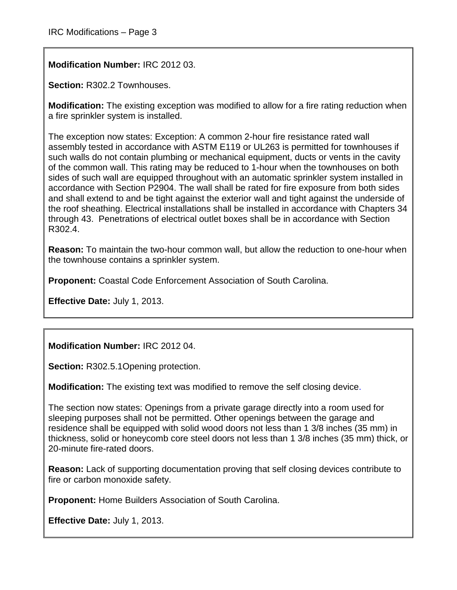**Modification Number:** IRC 2012 03.

**Section:** R302.2 Townhouses.

**Modification:** The existing exception was modified to allow for a fire rating reduction when a fire sprinkler system is installed.

The exception now states: Exception: A common 2-hour fire resistance rated wall assembly tested in accordance with ASTM E119 or UL263 is permitted for townhouses if such walls do not contain plumbing or mechanical equipment, ducts or vents in the cavity of the common wall. This rating may be reduced to 1-hour when the townhouses on both sides of such wall are equipped throughout with an automatic sprinkler system installed in accordance with Section P2904. The wall shall be rated for fire exposure from both sides and shall extend to and be tight against the exterior wall and tight against the underside of the roof sheathing. Electrical installations shall be installed in accordance with Chapters 34 through 43. Penetrations of electrical outlet boxes shall be in accordance with Section R302.4.

**Reason:** To maintain the two-hour common wall, but allow the reduction to one-hour when the townhouse contains a sprinkler system.

**Proponent:** Coastal Code Enforcement Association of South Carolina.

**Effective Date:** July 1, 2013.

**Modification Number:** IRC 2012 04.

**Section:** R302.5.1Opening protection.

**Modification:** The existing text was modified to remove the self closing device.

The section now states: Openings from a private garage directly into a room used for sleeping purposes shall not be permitted. Other openings between the garage and residence shall be equipped with solid wood doors not less than 1 3/8 inches (35 mm) in thickness, solid or honeycomb core steel doors not less than 1 3/8 inches (35 mm) thick, or 20-minute fire-rated doors.

**Reason:** Lack of supporting documentation proving that self closing devices contribute to fire or carbon monoxide safety.

**Proponent:** Home Builders Association of South Carolina.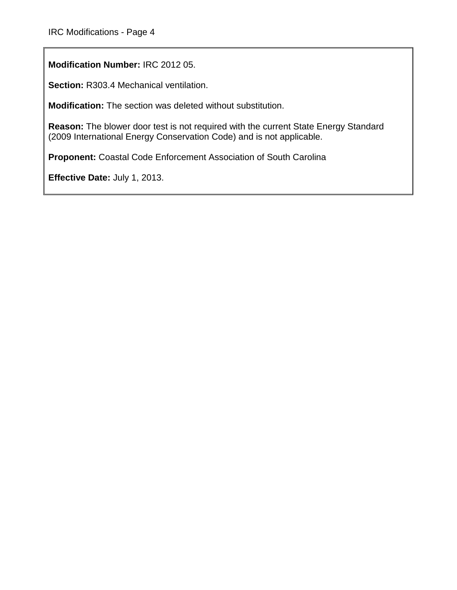**Modification Number:** IRC 2012 05.

**Section:** R303.4 Mechanical ventilation.

**Modification:** The section was deleted without substitution.

**Reason:** The blower door test is not required with the current State Energy Standard (2009 International Energy Conservation Code) and is not applicable.

**Proponent:** Coastal Code Enforcement Association of South Carolina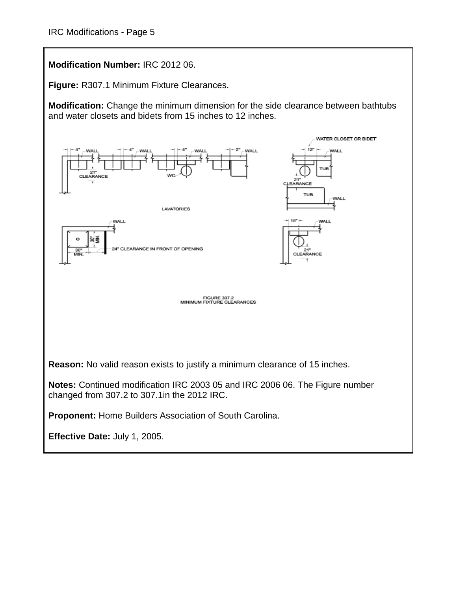**Modification Number:** IRC 2012 06.

**Figure:** R307.1 Minimum Fixture Clearances.

**Modification:** Change the minimum dimension for the side clearance between bathtubs and water closets and bidets from 15 inches to 12 inches.

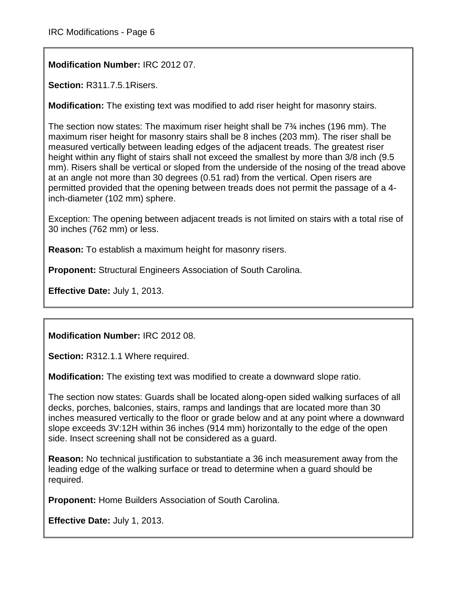**Modification Number:** IRC 2012 07.

**Section:** R311.7.5.1Risers.

**Modification:** The existing text was modified to add riser height for masonry stairs.

The section now states: The maximum riser height shall be 7¾ inches (196 mm). The maximum riser height for masonry stairs shall be 8 inches (203 mm). The riser shall be measured vertically between leading edges of the adjacent treads. The greatest riser height within any flight of stairs shall not exceed the smallest by more than 3/8 inch (9.5 mm). Risers shall be vertical or sloped from the underside of the nosing of the tread above at an angle not more than 30 degrees (0.51 rad) from the vertical. Open risers are permitted provided that the opening between treads does not permit the passage of a 4 inch-diameter (102 mm) sphere.

Exception: The opening between adjacent treads is not limited on stairs with a total rise of 30 inches (762 mm) or less.

**Reason:** To establish a maximum height for masonry risers.

**Proponent:** Structural Engineers Association of South Carolina.

**Effective Date:** July 1, 2013.

**Modification Number:** IRC 2012 08.

**Section:** R312.1.1 Where required.

**Modification:** The existing text was modified to create a downward slope ratio.

The section now states: Guards shall be located along-open sided walking surfaces of all decks, porches, balconies, stairs, ramps and landings that are located more than 30 inches measured vertically to the floor or grade below and at any point where a downward slope exceeds 3V:12H within 36 inches (914 mm) horizontally to the edge of the open side. Insect screening shall not be considered as a guard.

**Reason:** No technical justification to substantiate a 36 inch measurement away from the leading edge of the walking surface or tread to determine when a guard should be required.

**Proponent:** Home Builders Association of South Carolina.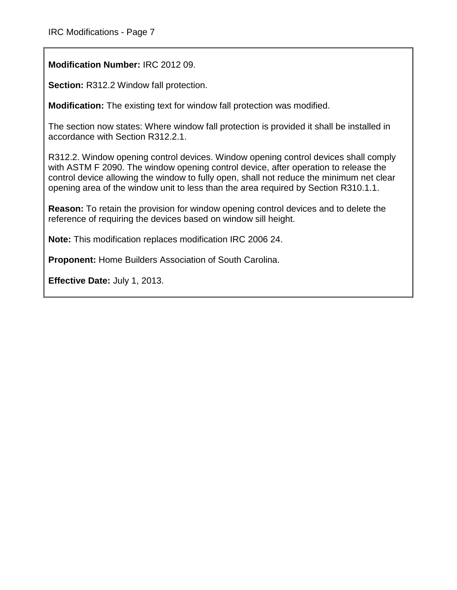**Modification Number:** IRC 2012 09.

**Section:** R312.2 Window fall protection.

**Modification:** The existing text for window fall protection was modified.

The section now states: Where window fall protection is provided it shall be installed in accordance with Section R312.2.1.

R312.2. Window opening control devices. Window opening control devices shall comply with ASTM F 2090. The window opening control device, after operation to release the control device allowing the window to fully open, shall not reduce the minimum net clear opening area of the window unit to less than the area required by Section R310.1.1.

**Reason:** To retain the provision for window opening control devices and to delete the reference of requiring the devices based on window sill height.

**Note:** This modification replaces modification IRC 2006 24.

**Proponent:** Home Builders Association of South Carolina.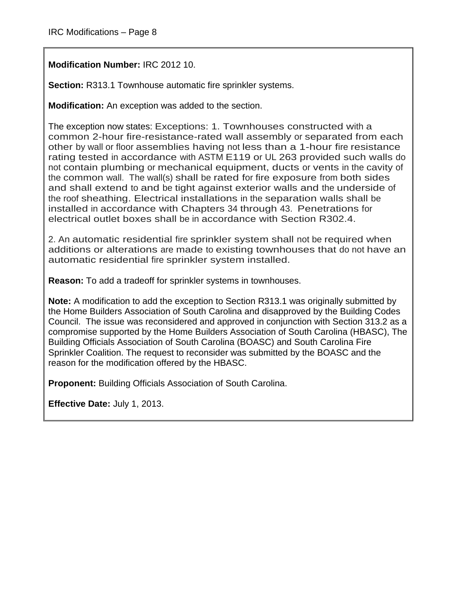**Modification Number:** IRC 2012 10.

**Section: R313.1 Townhouse automatic fire sprinkler systems.** 

**Modification:** An exception was added to the section.

The exception now states: Exceptions: 1. Townhouses constructed with a common 2-hour fire-resistance-rated wall assembly or separated from each other by wall or floor assemblies having not less than a 1-hour fire resistance rating tested in accordance with ASTM E119 or UL 263 provided such walls do not contain plumbing or mechanical equipment, ducts or vents in the cavity of the common wall. The wall(s) shall be rated for fire exposure from both sides and shall extend to and be tight against exterior walls and the underside of the roof sheathing. Electrical installations in the separation walls shall be installed in accordance with Chapters 34 through 43. Penetrations for electrical outlet boxes shall be in accordance with Section R302.4.

2. An automatic residential fire sprinkler system shall not be required when additions or alterations are made to existing townhouses that do not have an automatic residential fire sprinkler system installed.

**Reason:** To add a tradeoff for sprinkler systems in townhouses.

**Note:** A modification to add the exception to Section R313.1 was originally submitted by the Home Builders Association of South Carolina and disapproved by the Building Codes Council. The issue was reconsidered and approved in conjunction with Section 313.2 as a compromise supported by the Home Builders Association of South Carolina (HBASC), The Building Officials Association of South Carolina (BOASC) and South Carolina Fire Sprinkler Coalition. The request to reconsider was submitted by the BOASC and the reason for the modification offered by the HBASC.

**Proponent:** Building Officials Association of South Carolina.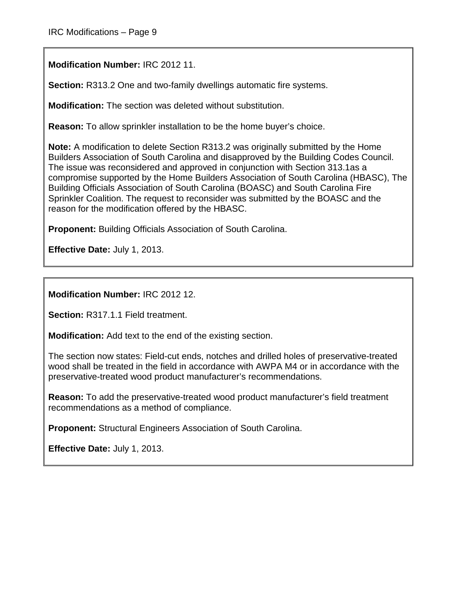**Modification Number:** IRC 2012 11.

**Section:** R313.2 One and two-family dwellings automatic fire systems.

**Modification:** The section was deleted without substitution.

**Reason:** To allow sprinkler installation to be the home buyer's choice.

**Note:** A modification to delete Section R313.2 was originally submitted by the Home Builders Association of South Carolina and disapproved by the Building Codes Council. The issue was reconsidered and approved in conjunction with Section 313.1as a compromise supported by the Home Builders Association of South Carolina (HBASC), The Building Officials Association of South Carolina (BOASC) and South Carolina Fire Sprinkler Coalition. The request to reconsider was submitted by the BOASC and the reason for the modification offered by the HBASC.

**Proponent:** Building Officials Association of South Carolina.

**Effective Date:** July 1, 2013.

**Modification Number:** IRC 2012 12.

**Section:** R317.1.1 Field treatment.

**Modification:** Add text to the end of the existing section.

The section now states: Field-cut ends, notches and drilled holes of preservative-treated wood shall be treated in the field in accordance with AWPA M4 or in accordance with the preservative-treated wood product manufacturer's recommendations.

**Reason:** To add the preservative-treated wood product manufacturer's field treatment recommendations as a method of compliance.

**Proponent:** Structural Engineers Association of South Carolina.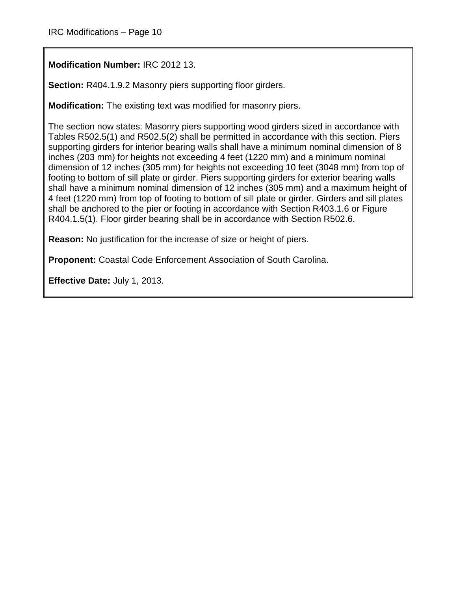**Modification Number:** IRC 2012 13.

**Section:** R404.1.9.2 Masonry piers supporting floor girders.

**Modification:** The existing text was modified for masonry piers.

The section now states: Masonry piers supporting wood girders sized in accordance with Tables R502.5(1) and R502.5(2) shall be permitted in accordance with this section. Piers supporting girders for interior bearing walls shall have a minimum nominal dimension of 8 inches (203 mm) for heights not exceeding 4 feet (1220 mm) and a minimum nominal dimension of 12 inches (305 mm) for heights not exceeding 10 feet (3048 mm) from top of footing to bottom of sill plate or girder. Piers supporting girders for exterior bearing walls shall have a minimum nominal dimension of 12 inches (305 mm) and a maximum height of 4 feet (1220 mm) from top of footing to bottom of sill plate or girder. Girders and sill plates shall be anchored to the pier or footing in accordance with Section R403.1.6 or Figure R404.1.5(1). Floor girder bearing shall be in accordance with Section R502.6.

**Reason:** No justification for the increase of size or height of piers.

**Proponent:** Coastal Code Enforcement Association of South Carolina.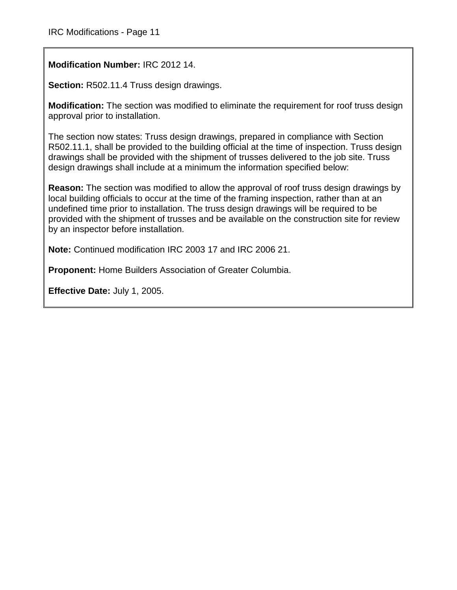**Modification Number:** IRC 2012 14.

**Section:** R502.11.4 Truss design drawings.

**Modification:** The section was modified to eliminate the requirement for roof truss design approval prior to installation.

The section now states: Truss design drawings, prepared in compliance with Section R502.11.1, shall be provided to the building official at the time of inspection. Truss design drawings shall be provided with the shipment of trusses delivered to the job site. Truss design drawings shall include at a minimum the information specified below:

**Reason:** The section was modified to allow the approval of roof truss design drawings by local building officials to occur at the time of the framing inspection, rather than at an undefined time prior to installation. The truss design drawings will be required to be provided with the shipment of trusses and be available on the construction site for review by an inspector before installation.

**Note:** Continued modification IRC 2003 17 and IRC 2006 21.

**Proponent:** Home Builders Association of Greater Columbia.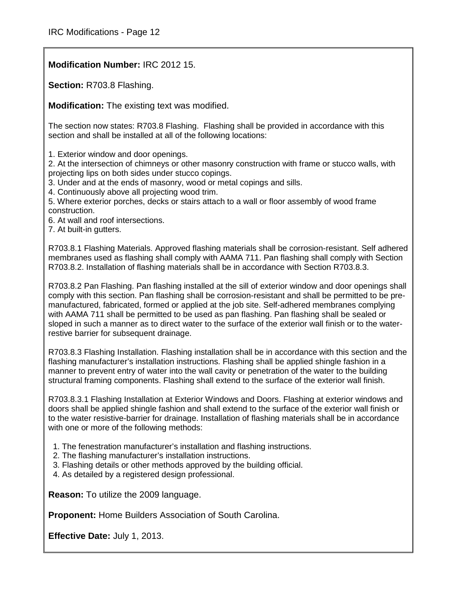**Modification Number:** IRC 2012 15.

**Section:** R703.8 Flashing.

**Modification:** The existing text was modified.

The section now states: R703.8 Flashing. Flashing shall be provided in accordance with this section and shall be installed at all of the following locations:

1. Exterior window and door openings.

2. At the intersection of chimneys or other masonry construction with frame or stucco walls, with projecting lips on both sides under stucco copings.

3. Under and at the ends of masonry, wood or metal copings and sills.

4. Continuously above all projecting wood trim.

5. Where exterior porches, decks or stairs attach to a wall or floor assembly of wood frame construction.

6. At wall and roof intersections.

7. At built-in gutters.

R703.8.1 Flashing Materials. Approved flashing materials shall be corrosion-resistant. Self adhered membranes used as flashing shall comply with AAMA 711. Pan flashing shall comply with Section R703.8.2. Installation of flashing materials shall be in accordance with Section R703.8.3.

R703.8.2 Pan Flashing. Pan flashing installed at the sill of exterior window and door openings shall comply with this section. Pan flashing shall be corrosion-resistant and shall be permitted to be premanufactured, fabricated, formed or applied at the job site. Self-adhered membranes complying with AAMA 711 shall be permitted to be used as pan flashing. Pan flashing shall be sealed or sloped in such a manner as to direct water to the surface of the exterior wall finish or to the waterrestive barrier for subsequent drainage.

R703.8.3 Flashing Installation. Flashing installation shall be in accordance with this section and the flashing manufacturer's installation instructions. Flashing shall be applied shingle fashion in a manner to prevent entry of water into the wall cavity or penetration of the water to the building structural framing components. Flashing shall extend to the surface of the exterior wall finish.

R703.8.3.1 Flashing Installation at Exterior Windows and Doors. Flashing at exterior windows and doors shall be applied shingle fashion and shall extend to the surface of the exterior wall finish or to the water resistive-barrier for drainage. Installation of flashing materials shall be in accordance with one or more of the following methods:

- 1. The fenestration manufacturer's installation and flashing instructions.
- 2. The flashing manufacturer's installation instructions.
- 3. Flashing details or other methods approved by the building official.
- 4. As detailed by a registered design professional.

**Reason:** To utilize the 2009 language.

**Proponent:** Home Builders Association of South Carolina.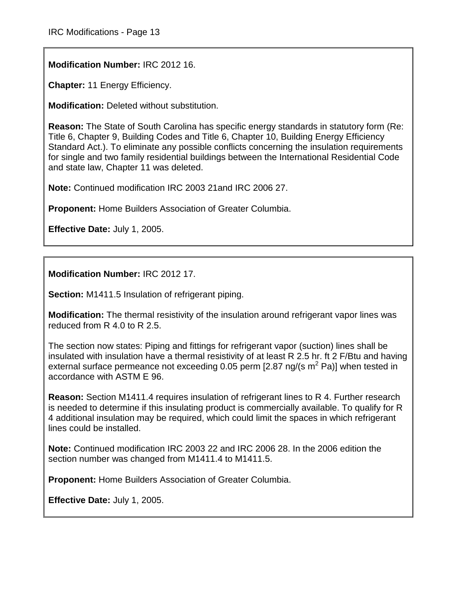**Modification Number:** IRC 2012 16.

**Chapter:** 11 Energy Efficiency.

**Modification:** Deleted without substitution.

**Reason:** The State of South Carolina has specific energy standards in statutory form (Re: Title 6, Chapter 9, Building Codes and Title 6, Chapter 10, Building Energy Efficiency Standard Act.). To eliminate any possible conflicts concerning the insulation requirements for single and two family residential buildings between the International Residential Code and state law, Chapter 11 was deleted.

**Note:** Continued modification IRC 2003 21and IRC 2006 27.

**Proponent:** Home Builders Association of Greater Columbia.

**Effective Date:** July 1, 2005.

**Modification Number:** IRC 2012 17.

**Section:** M1411.5 Insulation of refrigerant piping.

**Modification:** The thermal resistivity of the insulation around refrigerant vapor lines was reduced from R 4.0 to R 2.5.

The section now states: Piping and fittings for refrigerant vapor (suction) lines shall be insulated with insulation have a thermal resistivity of at least R 2.5 hr. ft 2 F/Btu and having external surface permeance not exceeding 0.05 perm  $[2.87 \text{ ng/(s m}^2 \text{ Pa)}]$  when tested in accordance with ASTM E 96.

**Reason:** Section M1411.4 requires insulation of refrigerant lines to R 4. Further research is needed to determine if this insulating product is commercially available. To qualify for R 4 additional insulation may be required, which could limit the spaces in which refrigerant lines could be installed.

**Note:** Continued modification IRC 2003 22 and IRC 2006 28. In the 2006 edition the section number was changed from M1411.4 to M1411.5.

**Proponent:** Home Builders Association of Greater Columbia.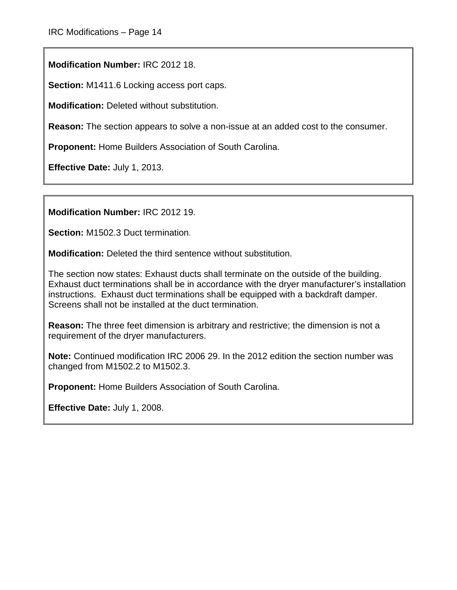**Modification Number:** IRC 2012 18.

**Section:** M1411.6 Locking access port caps.

**Modification:** Deleted without substitution.

**Reason:** The section appears to solve a non-issue at an added cost to the consumer.

**Proponent:** Home Builders Association of South Carolina.

**Effective Date:** July 1, 2013.

**Modification Number:** IRC 2012 19.

**Section:** M1502.3 Duct termination.

**Modification:** Deleted the third sentence without substitution.

The section now states: Exhaust ducts shall terminate on the outside of the building. Exhaust duct terminations shall be in accordance with the dryer manufacturer's installation instructions. Exhaust duct terminations shall be equipped with a backdraft damper. Screens shall not be installed at the duct termination.

**Reason:** The three feet dimension is arbitrary and restrictive; the dimension is not a requirement of the dryer manufacturers.

**Note:** Continued modification IRC 2006 29. In the 2012 edition the section number was changed from M1502.2 to M1502.3.

**Proponent:** Home Builders Association of South Carolina.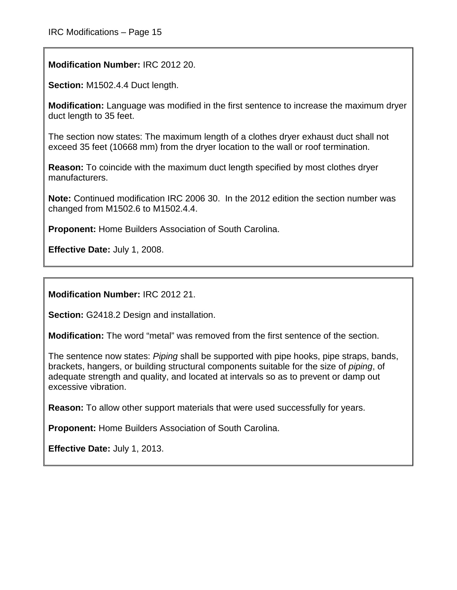**Modification Number:** IRC 2012 20.

**Section:** M1502.4.4 Duct length.

**Modification:** Language was modified in the first sentence to increase the maximum dryer duct length to 35 feet.

The section now states: The maximum length of a clothes dryer exhaust duct shall not exceed 35 feet (10668 mm) from the dryer location to the wall or roof termination.

**Reason:** To coincide with the maximum duct length specified by most clothes dryer manufacturers.

**Note:** Continued modification IRC 2006 30. In the 2012 edition the section number was changed from M1502.6 to M1502.4.4.

**Proponent:** Home Builders Association of South Carolina.

**Effective Date:** July 1, 2008.

**Modification Number:** IRC 2012 21.

**Section:** G2418.2 Design and installation.

**Modification:** The word "metal" was removed from the first sentence of the section.

The sentence now states: *Piping* shall be supported with pipe hooks, pipe straps, bands, brackets, hangers, or building structural components suitable for the size of *piping*, of adequate strength and quality, and located at intervals so as to prevent or damp out excessive vibration.

**Reason:** To allow other support materials that were used successfully for years.

**Proponent:** Home Builders Association of South Carolina.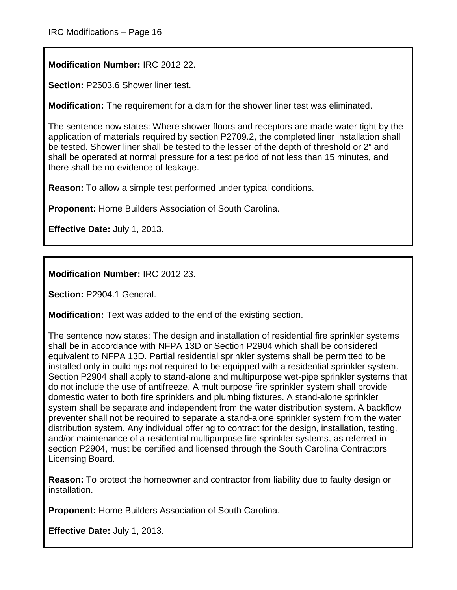**Modification Number:** IRC 2012 22.

**Section:** P2503.6 Shower liner test.

**Modification:** The requirement for a dam for the shower liner test was eliminated.

The sentence now states: Where shower floors and receptors are made water tight by the application of materials required by section P2709.2, the completed liner installation shall be tested. Shower liner shall be tested to the lesser of the depth of threshold or 2" and shall be operated at normal pressure for a test period of not less than 15 minutes, and there shall be no evidence of leakage.

**Reason:** To allow a simple test performed under typical conditions.

**Proponent:** Home Builders Association of South Carolina.

**Effective Date:** July 1, 2013.

**Modification Number:** IRC 2012 23.

**Section:** P2904.1 General.

**Modification:** Text was added to the end of the existing section.

The sentence now states: The design and installation of residential fire sprinkler systems shall be in accordance with NFPA 13D or Section P2904 which shall be considered equivalent to NFPA 13D. Partial residential sprinkler systems shall be permitted to be installed only in buildings not required to be equipped with a residential sprinkler system. Section P2904 shall apply to stand-alone and multipurpose wet-pipe sprinkler systems that do not include the use of antifreeze. A multipurpose fire sprinkler system shall provide domestic water to both fire sprinklers and plumbing fixtures. A stand-alone sprinkler system shall be separate and independent from the water distribution system. A backflow preventer shall not be required to separate a stand-alone sprinkler system from the water distribution system. Any individual offering to contract for the design, installation, testing, and/or maintenance of a residential multipurpose fire sprinkler systems, as referred in section P2904, must be certified and licensed through the South Carolina Contractors Licensing Board.

**Reason:** To protect the homeowner and contractor from liability due to faulty design or installation.

**Proponent:** Home Builders Association of South Carolina.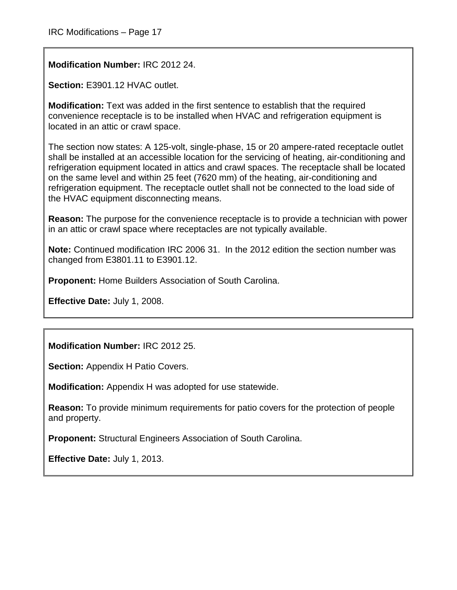**Modification Number:** IRC 2012 24.

**Section:** E3901.12 HVAC outlet.

**Modification:** Text was added in the first sentence to establish that the required convenience receptacle is to be installed when HVAC and refrigeration equipment is located in an attic or crawl space.

The section now states: A 125-volt, single-phase, 15 or 20 ampere-rated receptacle outlet shall be installed at an accessible location for the servicing of heating, air-conditioning and refrigeration equipment located in attics and crawl spaces. The receptacle shall be located on the same level and within 25 feet (7620 mm) of the heating, air-conditioning and refrigeration equipment. The receptacle outlet shall not be connected to the load side of the HVAC equipment disconnecting means.

**Reason:** The purpose for the convenience receptacle is to provide a technician with power in an attic or crawl space where receptacles are not typically available.

**Note:** Continued modification IRC 2006 31. In the 2012 edition the section number was changed from E3801.11 to E3901.12.

**Proponent:** Home Builders Association of South Carolina.

**Effective Date:** July 1, 2008.

**Modification Number:** IRC 2012 25.

**Section: Appendix H Patio Covers.** 

**Modification:** Appendix H was adopted for use statewide.

**Reason:** To provide minimum requirements for patio covers for the protection of people and property.

**Proponent:** Structural Engineers Association of South Carolina.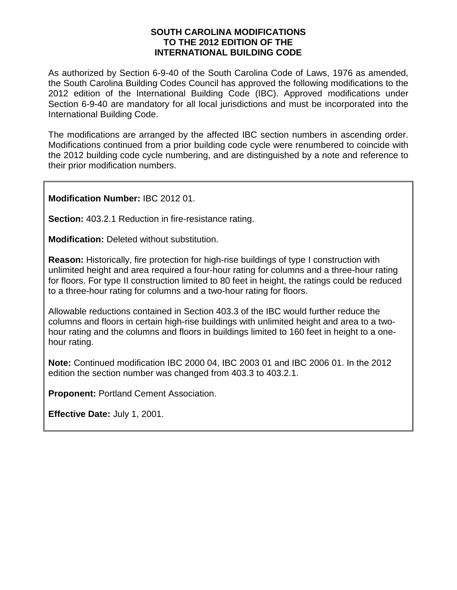#### **SOUTH CAROLINA MODIFICATIONS TO THE 2012 EDITION OF THE INTERNATIONAL BUILDING CODE**

As authorized by Section 6-9-40 of the South Carolina Code of Laws, 1976 as amended, the South Carolina Building Codes Council has approved the following modifications to the 2012 edition of the International Building Code (IBC). Approved modifications under Section 6-9-40 are mandatory for all local jurisdictions and must be incorporated into the International Building Code.

The modifications are arranged by the affected IBC section numbers in ascending order. Modifications continued from a prior building code cycle were renumbered to coincide with the 2012 building code cycle numbering, and are distinguished by a note and reference to their prior modification numbers.

**Modification Number:** IBC 2012 01.

**Section:** 403.2.1 Reduction in fire-resistance rating.

**Modification:** Deleted without substitution.

**Reason:** Historically, fire protection for high-rise buildings of type I construction with unlimited height and area required a four-hour rating for columns and a three-hour rating for floors. For type II construction limited to 80 feet in height, the ratings could be reduced to a three-hour rating for columns and a two-hour rating for floors.

Allowable reductions contained in Section 403.3 of the IBC would further reduce the columns and floors in certain high-rise buildings with unlimited height and area to a twohour rating and the columns and floors in buildings limited to 160 feet in height to a onehour rating.

**Note:** Continued modification IBC 2000 04, IBC 2003 01 and IBC 2006 01. In the 2012 edition the section number was changed from 403.3 to 403.2.1.

**Proponent:** Portland Cement Association.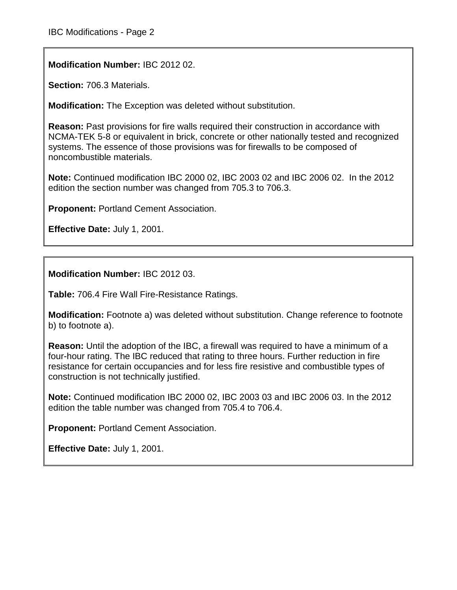**Modification Number:** IBC 2012 02.

**Section:** 706.3 Materials.

**Modification:** The Exception was deleted without substitution.

**Reason:** Past provisions for fire walls required their construction in accordance with NCMA-TEK 5-8 or equivalent in brick, concrete or other nationally tested and recognized systems. The essence of those provisions was for firewalls to be composed of noncombustible materials.

**Note:** Continued modification IBC 2000 02, IBC 2003 02 and IBC 2006 02. In the 2012 edition the section number was changed from 705.3 to 706.3.

**Proponent:** Portland Cement Association.

**Effective Date:** July 1, 2001.

**Modification Number:** IBC 2012 03.

**Table:** 706.4 Fire Wall Fire-Resistance Ratings.

**Modification:** Footnote a) was deleted without substitution. Change reference to footnote b) to footnote a).

**Reason:** Until the adoption of the IBC, a firewall was required to have a minimum of a four-hour rating. The IBC reduced that rating to three hours. Further reduction in fire resistance for certain occupancies and for less fire resistive and combustible types of construction is not technically justified.

**Note:** Continued modification IBC 2000 02, IBC 2003 03 and IBC 2006 03. In the 2012 edition the table number was changed from 705.4 to 706.4.

**Proponent:** Portland Cement Association.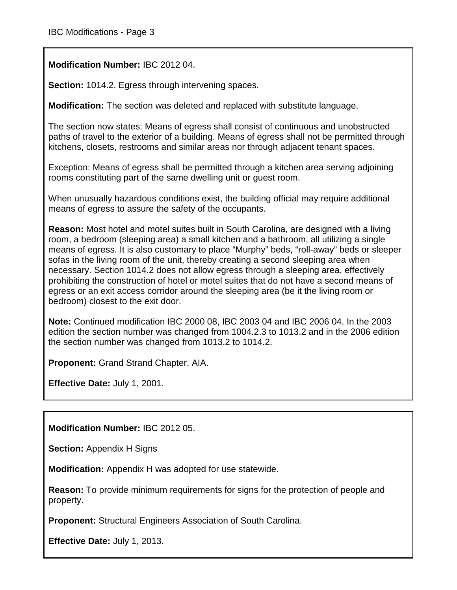**Modification Number:** IBC 2012 04.

**Section:** 1014.2. Egress through intervening spaces.

**Modification:** The section was deleted and replaced with substitute language.

The section now states: Means of egress shall consist of continuous and unobstructed paths of travel to the exterior of a building. Means of egress shall not be permitted through kitchens, closets, restrooms and similar areas nor through adjacent tenant spaces.

Exception: Means of egress shall be permitted through a kitchen area serving adjoining rooms constituting part of the same dwelling unit or guest room.

When unusually hazardous conditions exist, the building official may require additional means of egress to assure the safety of the occupants.

**Reason:** Most hotel and motel suites built in South Carolina, are designed with a living room, a bedroom (sleeping area) a small kitchen and a bathroom, all utilizing a single means of egress. It is also customary to place "Murphy" beds, "roll-away" beds or sleeper sofas in the living room of the unit, thereby creating a second sleeping area when necessary. Section 1014.2 does not allow egress through a sleeping area, effectively prohibiting the construction of hotel or motel suites that do not have a second means of egress or an exit access corridor around the sleeping area (be it the living room or bedroom) closest to the exit door.

**Note:** Continued modification IBC 2000 08, IBC 2003 04 and IBC 2006 04. In the 2003 edition the section number was changed from 1004.2.3 to 1013.2 and in the 2006 edition the section number was changed from 1013.2 to 1014.2.

**Proponent:** Grand Strand Chapter, AIA.

**Effective Date:** July 1, 2001.

**Modification Number:** IBC 2012 05.

**Section:** Appendix H Signs

**Modification:** Appendix H was adopted for use statewide.

**Reason:** To provide minimum requirements for signs for the protection of people and property.

**Proponent:** Structural Engineers Association of South Carolina.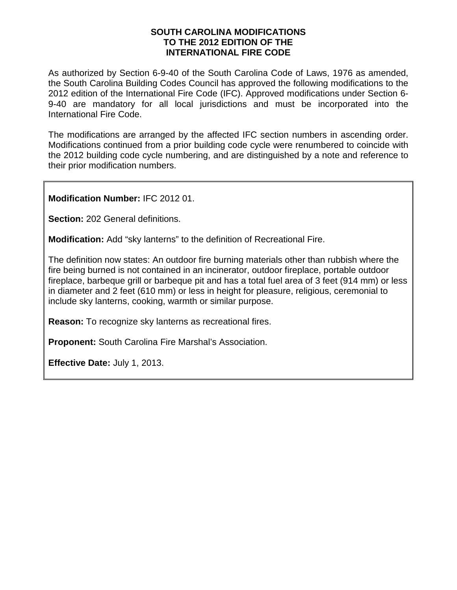#### **SOUTH CAROLINA MODIFICATIONS TO THE 2012 EDITION OF THE INTERNATIONAL FIRE CODE**

As authorized by Section 6-9-40 of the South Carolina Code of Laws, 1976 as amended, the South Carolina Building Codes Council has approved the following modifications to the 2012 edition of the International Fire Code (IFC). Approved modifications under Section 6- 9-40 are mandatory for all local jurisdictions and must be incorporated into the International Fire Code.

The modifications are arranged by the affected IFC section numbers in ascending order. Modifications continued from a prior building code cycle were renumbered to coincide with the 2012 building code cycle numbering, and are distinguished by a note and reference to their prior modification numbers.

**Modification Number:** IFC 2012 01.

**Section:** 202 General definitions.

**Modification:** Add "sky lanterns" to the definition of Recreational Fire.

The definition now states: An outdoor fire burning materials other than rubbish where the fire being burned is not contained in an incinerator, outdoor fireplace, portable outdoor fireplace, barbeque grill or barbeque pit and has a total fuel area of 3 feet (914 mm) or less in diameter and 2 feet (610 mm) or less in height for pleasure, religious, ceremonial to include sky lanterns, cooking, warmth or similar purpose.

**Reason:** To recognize sky lanterns as recreational fires.

**Proponent:** South Carolina Fire Marshal's Association.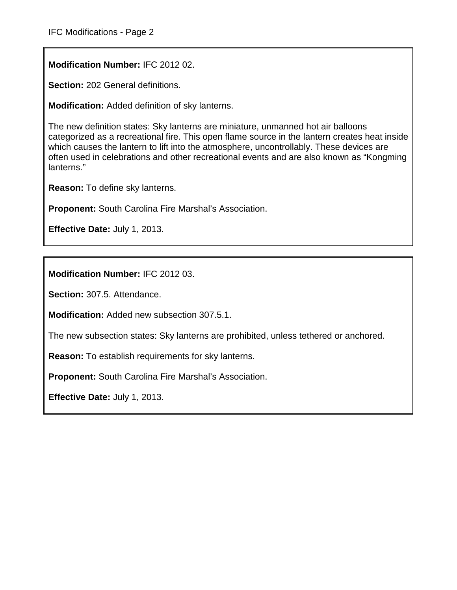**Modification Number:** IFC 2012 02.

**Section:** 202 General definitions.

**Modification:** Added definition of sky lanterns.

The new definition states: Sky lanterns are miniature, unmanned hot air balloons categorized as a recreational fire. This open flame source in the lantern creates heat inside which causes the lantern to lift into the atmosphere, uncontrollably. These devices are often used in celebrations and other recreational events and are also known as "Kongming lanterns."

**Reason:** To define sky lanterns.

**Proponent:** South Carolina Fire Marshal's Association.

**Effective Date:** July 1, 2013.

**Modification Number:** IFC 2012 03.

**Section:** 307.5. Attendance.

**Modification:** Added new subsection 307.5.1.

The new subsection states: Sky lanterns are prohibited, unless tethered or anchored.

**Reason:** To establish requirements for sky lanterns.

**Proponent:** South Carolina Fire Marshal's Association.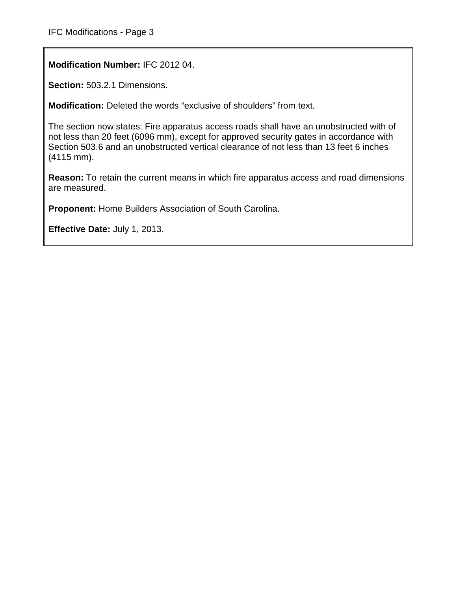**Modification Number:** IFC 2012 04.

**Section:** 503.2.1 Dimensions.

**Modification:** Deleted the words "exclusive of shoulders" from text.

The section now states: Fire apparatus access roads shall have an unobstructed with of not less than 20 feet (6096 mm), except for approved security gates in accordance with Section 503.6 and an unobstructed vertical clearance of not less than 13 feet 6 inches (4115 mm).

**Reason:** To retain the current means in which fire apparatus access and road dimensions are measured.

**Proponent:** Home Builders Association of South Carolina.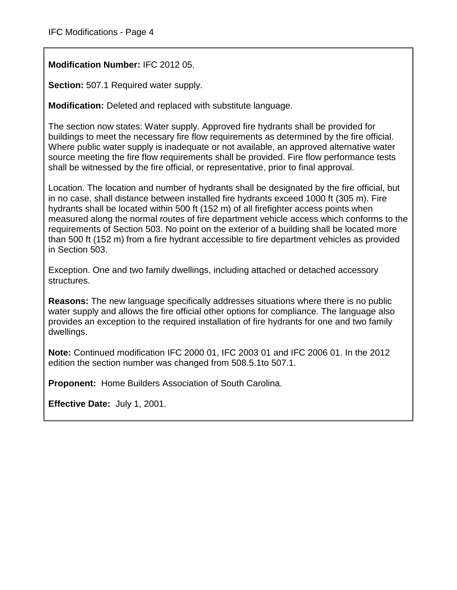**Modification Number:** IFC 2012 05.

**Section:** 507.1 Required water supply.

**Modification:** Deleted and replaced with substitute language.

The section now states: Water supply. Approved fire hydrants shall be provided for buildings to meet the necessary fire flow requirements as determined by the fire official. Where public water supply is inadequate or not available, an approved alternative water source meeting the fire flow requirements shall be provided. Fire flow performance tests shall be witnessed by the fire official, or representative, prior to final approval.

Location. The location and number of hydrants shall be designated by the fire official, but in no case, shall distance between installed fire hydrants exceed 1000 ft (305 m). Fire hydrants shall be located within 500 ft (152 m) of all firefighter access points when measured along the normal routes of fire department vehicle access which conforms to the requirements of Section 503. No point on the exterior of a building shall be located more than 500 ft (152 m) from a fire hydrant accessible to fire department vehicles as provided in Section 503.

Exception. One and two family dwellings, including attached or detached accessory structures.

**Reasons:** The new language specifically addresses situations where there is no public water supply and allows the fire official other options for compliance. The language also provides an exception to the required installation of fire hydrants for one and two family dwellings.

**Note:** Continued modification IFC 2000 01, IFC 2003 01 and IFC 2006 01. In the 2012 edition the section number was changed from 508.5.1to 507.1.

**Proponent:** Home Builders Association of South Carolina.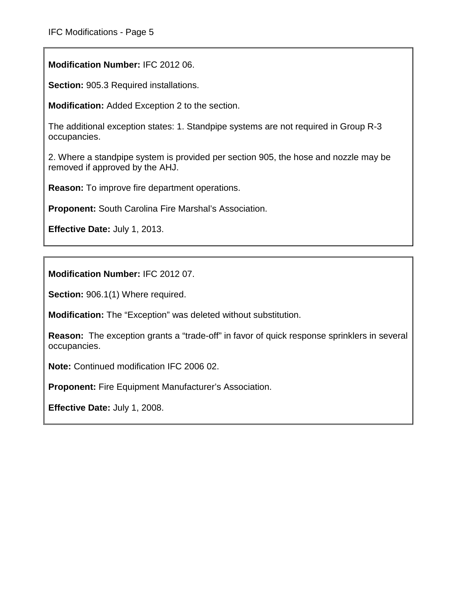**Modification Number:** IFC 2012 06.

**Section:** 905.3 Required installations.

**Modification:** Added Exception 2 to the section.

The additional exception states: 1. Standpipe systems are not required in Group R-3 occupancies.

2. Where a standpipe system is provided per section 905, the hose and nozzle may be removed if approved by the AHJ.

**Reason:** To improve fire department operations.

**Proponent:** South Carolina Fire Marshal's Association.

**Effective Date:** July 1, 2013.

**Modification Number:** IFC 2012 07.

**Section:** 906.1(1) Where required.

**Modification:** The "Exception" was deleted without substitution.

**Reason:** The exception grants a "trade-off" in favor of quick response sprinklers in several occupancies.

**Note:** Continued modification IFC 2006 02.

**Proponent:** Fire Equipment Manufacturer's Association.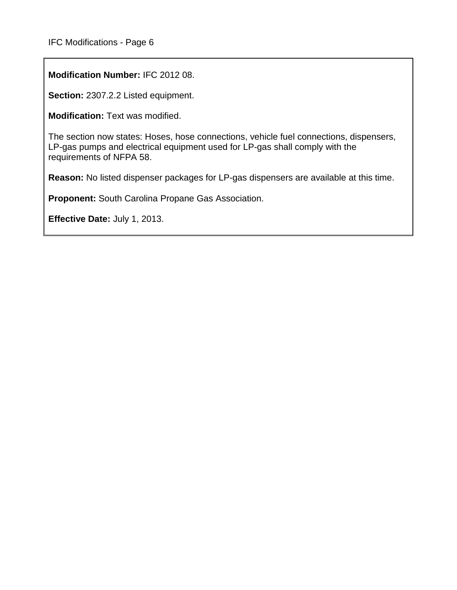**Modification Number:** IFC 2012 08.

**Section:** 2307.2.2 Listed equipment.

**Modification:** Text was modified.

The section now states: Hoses, hose connections, vehicle fuel connections, dispensers, LP-gas pumps and electrical equipment used for LP-gas shall comply with the requirements of NFPA 58.

**Reason:** No listed dispenser packages for LP-gas dispensers are available at this time.

**Proponent:** South Carolina Propane Gas Association.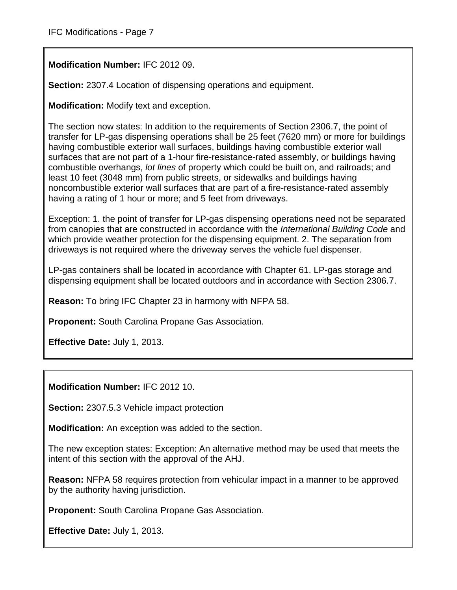**Modification Number:** IFC 2012 09.

**Section:** 2307.4 Location of dispensing operations and equipment.

**Modification:** Modify text and exception.

The section now states: In addition to the requirements of Section 2306.7, the point of transfer for LP-gas dispensing operations shall be 25 feet (7620 mm) or more for buildings having combustible exterior wall surfaces, buildings having combustible exterior wall surfaces that are not part of a 1-hour fire-resistance-rated assembly, or buildings having combustible overhangs, *lot lines* of property which could be built on, and railroads; and least 10 feet (3048 mm) from public streets, or sidewalks and buildings having noncombustible exterior wall surfaces that are part of a fire-resistance-rated assembly having a rating of 1 hour or more; and 5 feet from driveways.

Exception: 1. the point of transfer for LP-gas dispensing operations need not be separated from canopies that are constructed in accordance with the *International Building Code* and which provide weather protection for the dispensing equipment. 2. The separation from driveways is not required where the driveway serves the vehicle fuel dispenser.

LP-gas containers shall be located in accordance with Chapter 61. LP-gas storage and dispensing equipment shall be located outdoors and in accordance with Section 2306.7.

**Reason:** To bring IFC Chapter 23 in harmony with NFPA 58.

**Proponent:** South Carolina Propane Gas Association.

**Effective Date:** July 1, 2013.

**Modification Number:** IFC 2012 10.

**Section:** 2307.5.3 Vehicle impact protection

**Modification:** An exception was added to the section.

The new exception states: Exception: An alternative method may be used that meets the intent of this section with the approval of the AHJ.

**Reason:** NFPA 58 requires protection from vehicular impact in a manner to be approved by the authority having jurisdiction.

**Proponent:** South Carolina Propane Gas Association.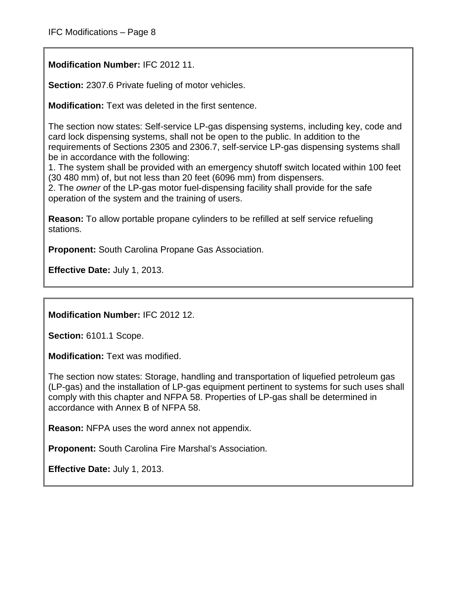**Modification Number:** IFC 2012 11.

**Section:** 2307.6 Private fueling of motor vehicles.

**Modification:** Text was deleted in the first sentence.

The section now states: Self-service LP-gas dispensing systems, including key, code and card lock dispensing systems, shall not be open to the public. In addition to the requirements of Sections 2305 and 2306.7, self-service LP-gas dispensing systems shall be in accordance with the following:

1. The system shall be provided with an emergency shutoff switch located within 100 feet (30 480 mm) of, but not less than 20 feet (6096 mm) from dispensers.

2. The *owner* of the LP-gas motor fuel-dispensing facility shall provide for the safe operation of the system and the training of users.

**Reason:** To allow portable propane cylinders to be refilled at self service refueling stations.

**Proponent:** South Carolina Propane Gas Association.

**Effective Date:** July 1, 2013.

**Modification Number:** IFC 2012 12.

**Section:** 6101.1 Scope.

**Modification:** Text was modified.

The section now states: Storage, handling and transportation of liquefied petroleum gas (LP-gas) and the installation of LP-gas equipment pertinent to systems for such uses shall comply with this chapter and NFPA 58. Properties of LP-gas shall be determined in accordance with Annex B of NFPA 58.

**Reason:** NFPA uses the word annex not appendix.

**Proponent:** South Carolina Fire Marshal's Association.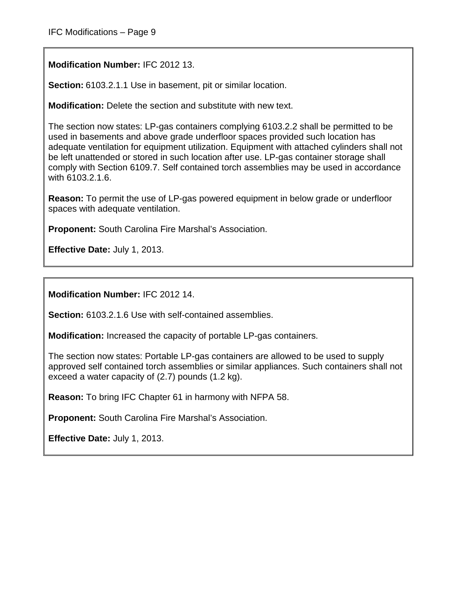**Modification Number:** IFC 2012 13.

**Section:** 6103.2.1.1 Use in basement, pit or similar location.

**Modification:** Delete the section and substitute with new text.

The section now states: LP-gas containers complying 6103.2.2 shall be permitted to be used in basements and above grade underfloor spaces provided such location has adequate ventilation for equipment utilization. Equipment with attached cylinders shall not be left unattended or stored in such location after use. LP-gas container storage shall comply with Section 6109.7. Self contained torch assemblies may be used in accordance with 6103.2.1.6.

**Reason:** To permit the use of LP-gas powered equipment in below grade or underfloor spaces with adequate ventilation.

**Proponent:** South Carolina Fire Marshal's Association.

**Effective Date:** July 1, 2013.

**Modification Number:** IFC 2012 14.

**Section:** 6103.2.1.6 Use with self-contained assemblies.

**Modification:** Increased the capacity of portable LP-gas containers.

The section now states: Portable LP-gas containers are allowed to be used to supply approved self contained torch assemblies or similar appliances. Such containers shall not exceed a water capacity of (2.7) pounds (1.2 kg).

**Reason:** To bring IFC Chapter 61 in harmony with NFPA 58.

**Proponent:** South Carolina Fire Marshal's Association.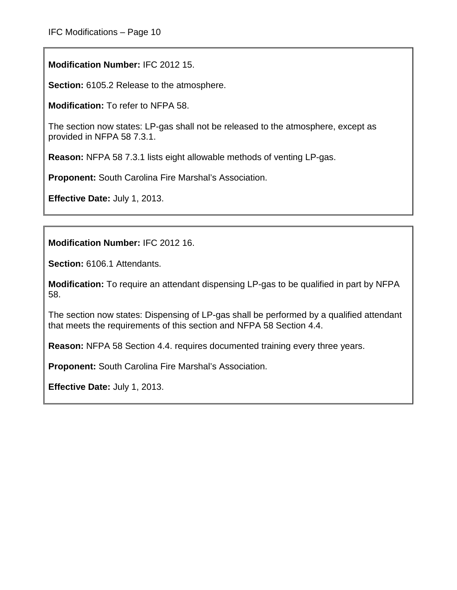**Modification Number:** IFC 2012 15.

**Section:** 6105.2 Release to the atmosphere.

**Modification:** To refer to NFPA 58.

The section now states: LP-gas shall not be released to the atmosphere, except as provided in NFPA 58 7.3.1.

**Reason:** NFPA 58 7.3.1 lists eight allowable methods of venting LP-gas.

**Proponent:** South Carolina Fire Marshal's Association.

**Effective Date:** July 1, 2013.

**Modification Number:** IFC 2012 16.

**Section:** 6106.1 Attendants.

**Modification:** To require an attendant dispensing LP-gas to be qualified in part by NFPA 58.

The section now states: Dispensing of LP-gas shall be performed by a qualified attendant that meets the requirements of this section and NFPA 58 Section 4.4.

**Reason:** NFPA 58 Section 4.4. requires documented training every three years.

**Proponent:** South Carolina Fire Marshal's Association.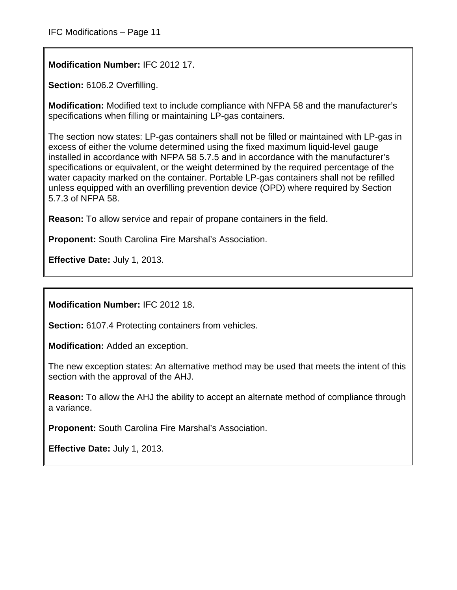**Modification Number:** IFC 2012 17.

**Section:** 6106.2 Overfilling.

**Modification:** Modified text to include compliance with NFPA 58 and the manufacturer's specifications when filling or maintaining LP-gas containers.

The section now states: LP-gas containers shall not be filled or maintained with LP-gas in excess of either the volume determined using the fixed maximum liquid-level gauge installed in accordance with NFPA 58 5.7.5 and in accordance with the manufacturer's specifications or equivalent, or the weight determined by the required percentage of the water capacity marked on the container. Portable LP-gas containers shall not be refilled unless equipped with an overfilling prevention device (OPD) where required by Section 5.7.3 of NFPA 58.

**Reason:** To allow service and repair of propane containers in the field.

**Proponent:** South Carolina Fire Marshal's Association.

**Effective Date:** July 1, 2013.

**Modification Number:** IFC 2012 18.

**Section:** 6107.4 Protecting containers from vehicles.

**Modification:** Added an exception.

The new exception states: An alternative method may be used that meets the intent of this section with the approval of the AHJ.

**Reason:** To allow the AHJ the ability to accept an alternate method of compliance through a variance.

**Proponent:** South Carolina Fire Marshal's Association.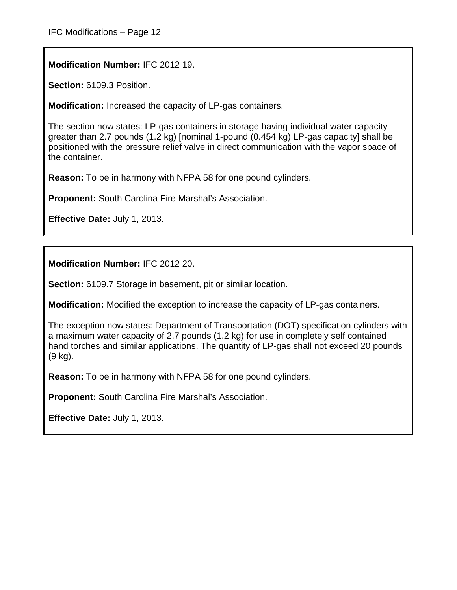**Modification Number:** IFC 2012 19.

**Section:** 6109.3 Position.

**Modification:** Increased the capacity of LP-gas containers.

The section now states: LP-gas containers in storage having individual water capacity greater than 2.7 pounds (1.2 kg) [nominal 1-pound (0.454 kg) LP-gas capacity] shall be positioned with the pressure relief valve in direct communication with the vapor space of the container.

**Reason:** To be in harmony with NFPA 58 for one pound cylinders.

**Proponent:** South Carolina Fire Marshal's Association.

**Effective Date:** July 1, 2013.

**Modification Number:** IFC 2012 20.

**Section:** 6109.7 Storage in basement, pit or similar location.

**Modification:** Modified the exception to increase the capacity of LP-gas containers.

The exception now states: Department of Transportation (DOT) specification cylinders with a maximum water capacity of 2.7 pounds (1.2 kg) for use in completely self contained hand torches and similar applications. The quantity of LP-gas shall not exceed 20 pounds (9 kg).

**Reason:** To be in harmony with NFPA 58 for one pound cylinders.

**Proponent:** South Carolina Fire Marshal's Association.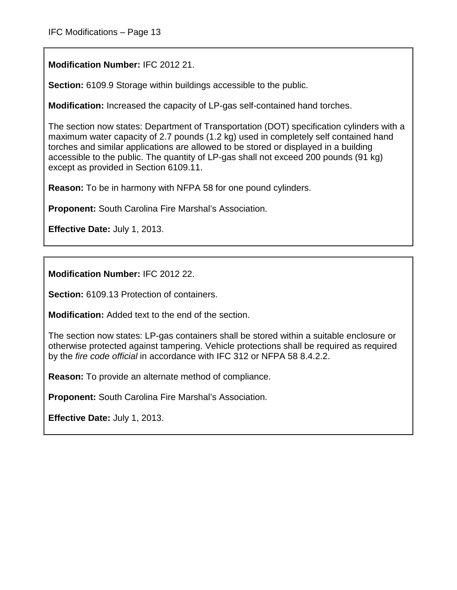**Modification Number:** IFC 2012 21.

**Section:** 6109.9 Storage within buildings accessible to the public.

**Modification:** Increased the capacity of LP-gas self-contained hand torches.

The section now states: Department of Transportation (DOT) specification cylinders with a maximum water capacity of 2.7 pounds (1.2 kg) used in completely self contained hand torches and similar applications are allowed to be stored or displayed in a building accessible to the public. The quantity of LP-gas shall not exceed 200 pounds (91 kg) except as provided in Section 6109.11.

**Reason:** To be in harmony with NFPA 58 for one pound cylinders.

**Proponent:** South Carolina Fire Marshal's Association.

**Effective Date:** July 1, 2013.

**Modification Number:** IFC 2012 22.

**Section:** 6109.13 Protection of containers.

**Modification:** Added text to the end of the section.

The section now states: LP-gas containers shall be stored within a suitable enclosure or otherwise protected against tampering. Vehicle protections shall be required as required by the *fire code official* in accordance with IFC 312 or NFPA 58 8.4.2.2.

**Reason:** To provide an alternate method of compliance.

**Proponent:** South Carolina Fire Marshal's Association.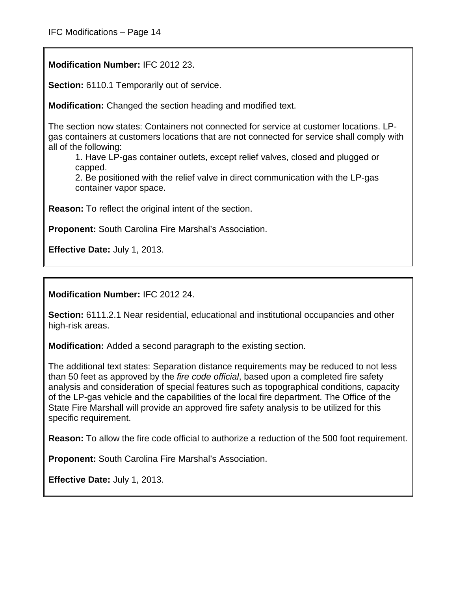**Modification Number:** IFC 2012 23.

**Section:** 6110.1 Temporarily out of service.

**Modification:** Changed the section heading and modified text.

The section now states: Containers not connected for service at customer locations. LPgas containers at customers locations that are not connected for service shall comply with all of the following:

1. Have LP-gas container outlets, except relief valves, closed and plugged or capped.

2. Be positioned with the relief valve in direct communication with the LP-gas container vapor space.

**Reason:** To reflect the original intent of the section.

**Proponent:** South Carolina Fire Marshal's Association.

**Effective Date:** July 1, 2013.

**Modification Number:** IFC 2012 24.

**Section:** 6111.2.1 Near residential, educational and institutional occupancies and other high-risk areas.

**Modification:** Added a second paragraph to the existing section.

The additional text states: Separation distance requirements may be reduced to not less than 50 feet as approved by the *fire code official*, based upon a completed fire safety analysis and consideration of special features such as topographical conditions, capacity of the LP-gas vehicle and the capabilities of the local fire department. The Office of the State Fire Marshall will provide an approved fire safety analysis to be utilized for this specific requirement.

**Reason:** To allow the fire code official to authorize a reduction of the 500 foot requirement.

**Proponent:** South Carolina Fire Marshal's Association.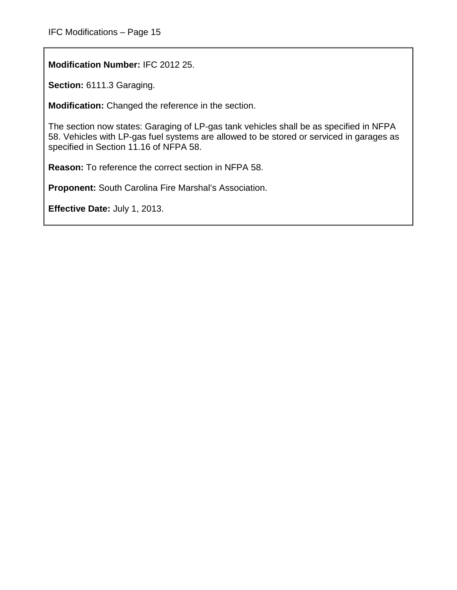**Modification Number:** IFC 2012 25.

**Section:** 6111.3 Garaging.

**Modification:** Changed the reference in the section.

The section now states: Garaging of LP-gas tank vehicles shall be as specified in NFPA 58. Vehicles with LP-gas fuel systems are allowed to be stored or serviced in garages as specified in Section 11.16 of NFPA 58.

**Reason:** To reference the correct section in NFPA 58.

**Proponent:** South Carolina Fire Marshal's Association.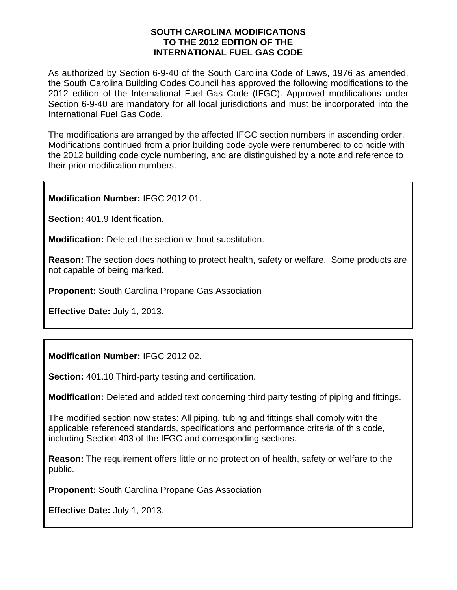#### **SOUTH CAROLINA MODIFICATIONS TO THE 2012 EDITION OF THE INTERNATIONAL FUEL GAS CODE**

As authorized by Section 6-9-40 of the South Carolina Code of Laws, 1976 as amended, the South Carolina Building Codes Council has approved the following modifications to the 2012 edition of the International Fuel Gas Code (IFGC). Approved modifications under Section 6-9-40 are mandatory for all local jurisdictions and must be incorporated into the International Fuel Gas Code.

The modifications are arranged by the affected IFGC section numbers in ascending order. Modifications continued from a prior building code cycle were renumbered to coincide with the 2012 building code cycle numbering, and are distinguished by a note and reference to their prior modification numbers.

**Modification Number:** IFGC 2012 01.

**Section:** 401.9 Identification.

**Modification:** Deleted the section without substitution.

**Reason:** The section does nothing to protect health, safety or welfare. Some products are not capable of being marked.

**Proponent:** South Carolina Propane Gas Association

**Effective Date:** July 1, 2013.

**Modification Number:** IFGC 2012 02.

**Section:** 401.10 Third-party testing and certification.

**Modification:** Deleted and added text concerning third party testing of piping and fittings.

The modified section now states: All piping, tubing and fittings shall comply with the applicable referenced standards, specifications and performance criteria of this code, including Section 403 of the IFGC and corresponding sections.

**Reason:** The requirement offers little or no protection of health, safety or welfare to the public.

**Proponent:** South Carolina Propane Gas Association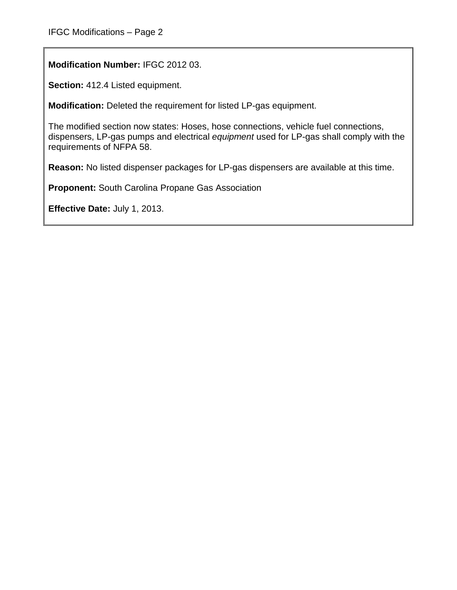**Modification Number:** IFGC 2012 03.

**Section:** 412.4 Listed equipment.

**Modification:** Deleted the requirement for listed LP-gas equipment.

The modified section now states: Hoses, hose connections, vehicle fuel connections, dispensers, LP-gas pumps and electrical *equipment* used for LP-gas shall comply with the requirements of NFPA 58.

**Reason:** No listed dispenser packages for LP-gas dispensers are available at this time.

**Proponent:** South Carolina Propane Gas Association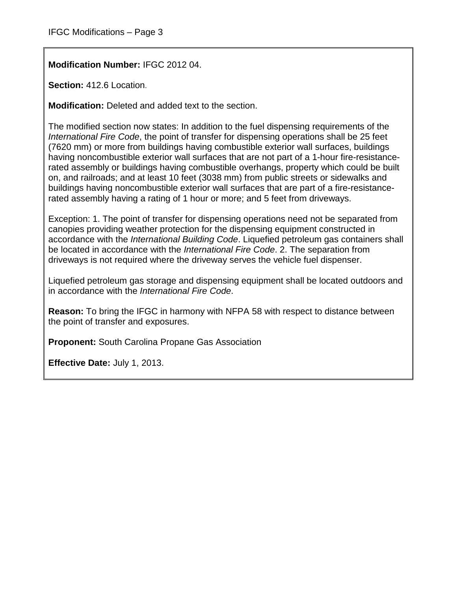**Modification Number:** IFGC 2012 04.

**Section:** 412.6 Location.

**Modification:** Deleted and added text to the section.

The modified section now states: In addition to the fuel dispensing requirements of the *International Fire Code*, the point of transfer for dispensing operations shall be 25 feet (7620 mm) or more from buildings having combustible exterior wall surfaces, buildings having noncombustible exterior wall surfaces that are not part of a 1-hour fire-resistancerated assembly or buildings having combustible overhangs, property which could be built on, and railroads; and at least 10 feet (3038 mm) from public streets or sidewalks and buildings having noncombustible exterior wall surfaces that are part of a fire-resistancerated assembly having a rating of 1 hour or more; and 5 feet from driveways.

Exception: 1. The point of transfer for dispensing operations need not be separated from canopies providing weather protection for the dispensing equipment constructed in accordance with the *International Building Code*. Liquefied petroleum gas containers shall be located in accordance with the *International Fire Code*. 2. The separation from driveways is not required where the driveway serves the vehicle fuel dispenser.

Liquefied petroleum gas storage and dispensing equipment shall be located outdoors and in accordance with the *International Fire Code*.

**Reason:** To bring the IFGC in harmony with NFPA 58 with respect to distance between the point of transfer and exposures.

**Proponent:** South Carolina Propane Gas Association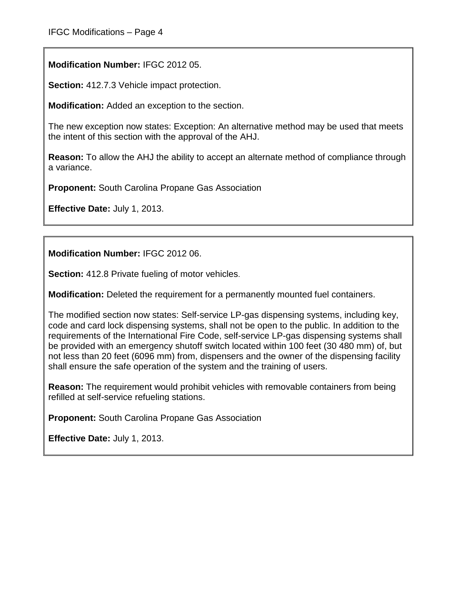**Modification Number:** IFGC 2012 05.

**Section:** 412.7.3 Vehicle impact protection.

**Modification:** Added an exception to the section.

The new exception now states: Exception: An alternative method may be used that meets the intent of this section with the approval of the AHJ.

**Reason:** To allow the AHJ the ability to accept an alternate method of compliance through a variance.

**Proponent:** South Carolina Propane Gas Association

**Effective Date:** July 1, 2013.

**Modification Number:** IFGC 2012 06.

**Section:** 412.8 Private fueling of motor vehicles.

**Modification:** Deleted the requirement for a permanently mounted fuel containers.

The modified section now states: Self-service LP-gas dispensing systems, including key, code and card lock dispensing systems, shall not be open to the public. In addition to the requirements of the International Fire Code, self-service LP-gas dispensing systems shall be provided with an emergency shutoff switch located within 100 feet (30 480 mm) of, but not less than 20 feet (6096 mm) from, dispensers and the owner of the dispensing facility shall ensure the safe operation of the system and the training of users.

**Reason:** The requirement would prohibit vehicles with removable containers from being refilled at self-service refueling stations.

**Proponent:** South Carolina Propane Gas Association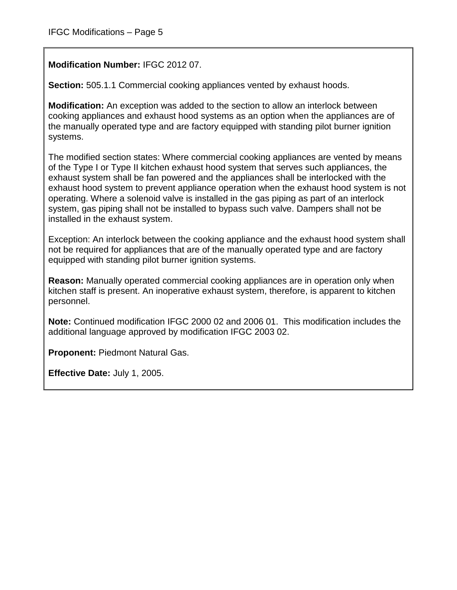## **Modification Number:** IFGC 2012 07.

**Section:** 505.1.1 Commercial cooking appliances vented by exhaust hoods.

**Modification:** An exception was added to the section to allow an interlock between cooking appliances and exhaust hood systems as an option when the appliances are of the manually operated type and are factory equipped with standing pilot burner ignition systems.

The modified section states: Where commercial cooking appliances are vented by means of the Type I or Type II kitchen exhaust hood system that serves such appliances, the exhaust system shall be fan powered and the appliances shall be interlocked with the exhaust hood system to prevent appliance operation when the exhaust hood system is not operating. Where a solenoid valve is installed in the gas piping as part of an interlock system, gas piping shall not be installed to bypass such valve. Dampers shall not be installed in the exhaust system.

Exception: An interlock between the cooking appliance and the exhaust hood system shall not be required for appliances that are of the manually operated type and are factory equipped with standing pilot burner ignition systems.

**Reason:** Manually operated commercial cooking appliances are in operation only when kitchen staff is present. An inoperative exhaust system, therefore, is apparent to kitchen personnel.

**Note:** Continued modification IFGC 2000 02 and 2006 01. This modification includes the additional language approved by modification IFGC 2003 02.

**Proponent:** Piedmont Natural Gas.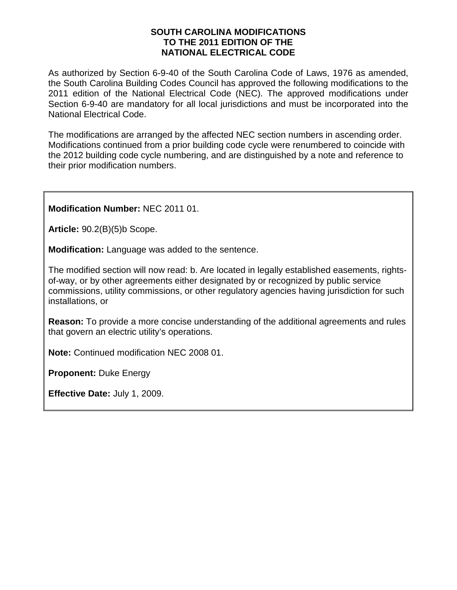#### **SOUTH CAROLINA MODIFICATIONS TO THE 2011 EDITION OF THE NATIONAL ELECTRICAL CODE**

As authorized by Section 6-9-40 of the South Carolina Code of Laws, 1976 as amended, the South Carolina Building Codes Council has approved the following modifications to the 2011 edition of the National Electrical Code (NEC). The approved modifications under Section 6-9-40 are mandatory for all local jurisdictions and must be incorporated into the National Electrical Code.

The modifications are arranged by the affected NEC section numbers in ascending order. Modifications continued from a prior building code cycle were renumbered to coincide with the 2012 building code cycle numbering, and are distinguished by a note and reference to their prior modification numbers.

**Modification Number:** NEC 2011 01.

**Article:** 90.2(B)(5)b Scope.

**Modification:** Language was added to the sentence.

The modified section will now read: b. Are located in legally established easements, rightsof-way, or by other agreements either designated by or recognized by public service commissions, utility commissions, or other regulatory agencies having jurisdiction for such installations, or

**Reason:** To provide a more concise understanding of the additional agreements and rules that govern an electric utility's operations.

**Note:** Continued modification NEC 2008 01.

**Proponent:** Duke Energy